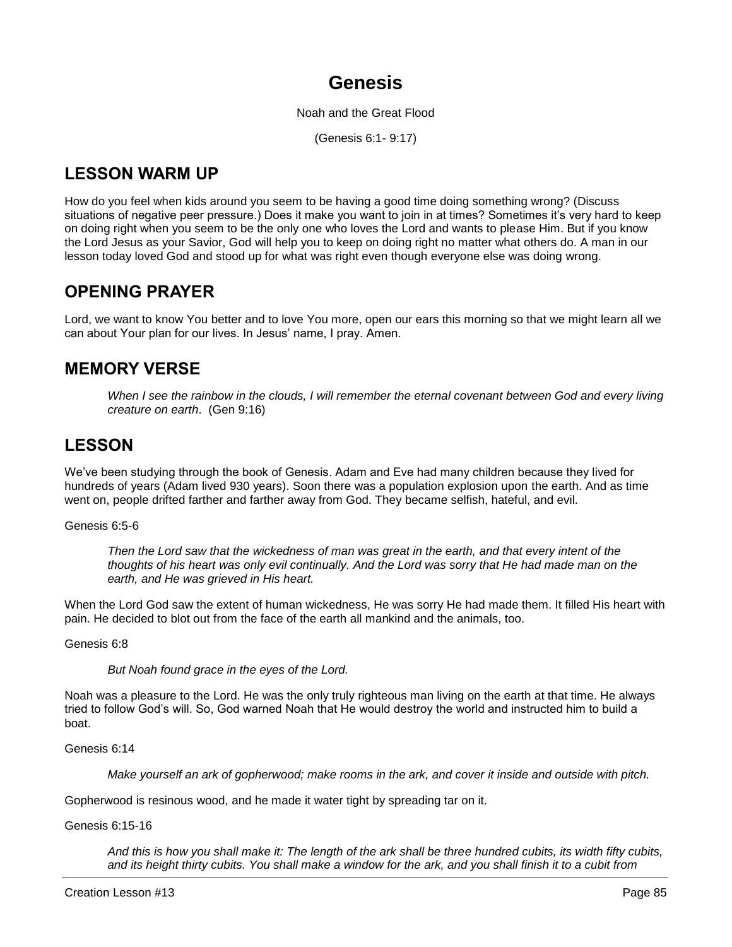# **Genesis**

Noah and the Great Flood

(Genesis 6:1- 9:17)

# **LESSON WARM UP**

How do you feel when kids around you seem to be having a good time doing something wrong? (Discuss situations of negative peer pressure.) Does it make you want to join in at times? Sometimes it's very hard to keep on doing right when you seem to be the only one who loves the Lord and wants to please Him. But if you know the Lord Jesus as your Savior, God will help you to keep on doing right no matter what others do. A man in our lesson today loved God and stood up for what was right even though everyone else was doing wrong.

# **OPENING PRAYER**

Lord, we want to know You better and to love You more, open our ears this morning so that we might learn all we can about Your plan for our lives. In Jesus' name, I pray. Amen.

# **MEMORY VERSE**

*When I see the rainbow in the clouds, I will remember the eternal covenant between God and every living creature on earth*. (Gen 9:16)

# **LESSON**

We've been studying through the book of Genesis. Adam and Eve had many children because they lived for hundreds of years (Adam lived 930 years). Soon there was a population explosion upon the earth. And as time went on, people drifted farther and farther away from God. They became selfish, hateful, and evil.

# Genesis 6:5-6

*Then the Lord saw that the wickedness of man was great in the earth, and that every intent of the thoughts of his heart was only evil continually. And the Lord was sorry that He had made man on the earth, and He was grieved in His heart.*

When the Lord God saw the extent of human wickedness, He was sorry He had made them. It filled His heart with pain. He decided to blot out from the face of the earth all mankind and the animals, too.

Genesis 6:8

*But Noah found grace in the eyes of the Lord.*

Noah was a pleasure to the Lord. He was the only truly righteous man living on the earth at that time. He always tried to follow God's will. So, God warned Noah that He would destroy the world and instructed him to build a boat.

Genesis 6:14

*Make yourself an ark of gopherwood; make rooms in the ark, and cover it inside and outside with pitch.*

Gopherwood is resinous wood, and he made it water tight by spreading tar on it.

Genesis 6:15-16

*And this is how you shall make it: The length of the ark shall be three hundred cubits, its width fifty cubits, and its height thirty cubits. You shall make a window for the ark, and you shall finish it to a cubit from*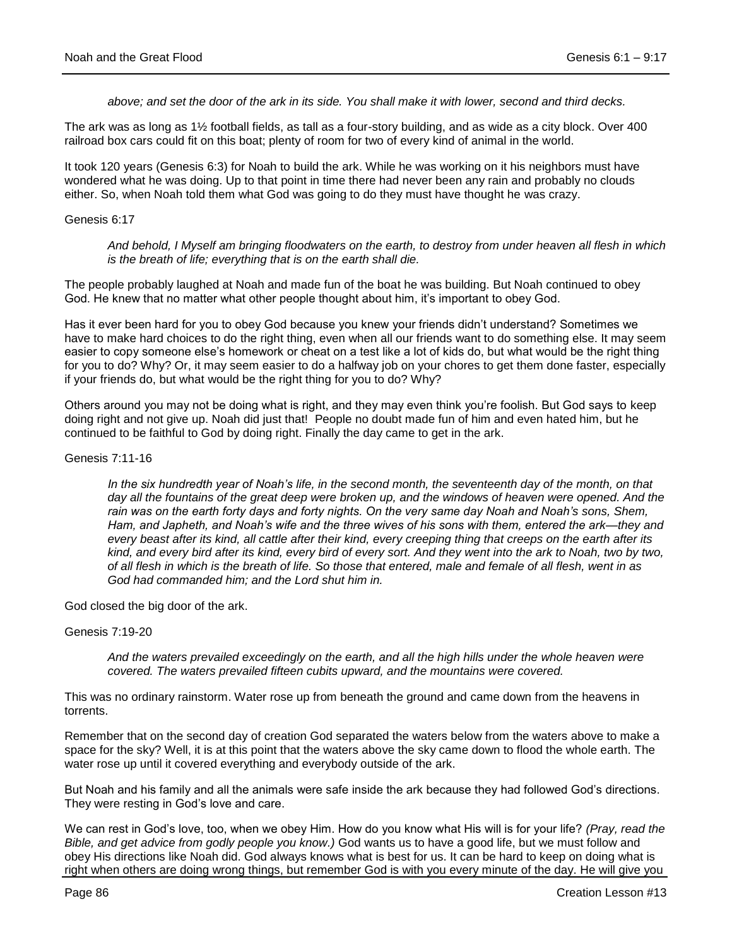*above; and set the door of the ark in its side. You shall make it with lower, second and third decks.*

The ark was as long as 1½ football fields, as tall as a four-story building, and as wide as a city block. Over 400 railroad box cars could fit on this boat; plenty of room for two of every kind of animal in the world.

It took 120 years (Genesis 6:3) for Noah to build the ark. While he was working on it his neighbors must have wondered what he was doing. Up to that point in time there had never been any rain and probably no clouds either. So, when Noah told them what God was going to do they must have thought he was crazy.

#### Genesis 6:17

*And behold, I Myself am bringing floodwaters on the earth, to destroy from under heaven all flesh in which is the breath of life; everything that is on the earth shall die.*

The people probably laughed at Noah and made fun of the boat he was building. But Noah continued to obey God. He knew that no matter what other people thought about him, it's important to obey God.

Has it ever been hard for you to obey God because you knew your friends didn't understand? Sometimes we have to make hard choices to do the right thing, even when all our friends want to do something else. It may seem easier to copy someone else's homework or cheat on a test like a lot of kids do, but what would be the right thing for you to do? Why? Or, it may seem easier to do a halfway job on your chores to get them done faster, especially if your friends do, but what would be the right thing for you to do? Why?

Others around you may not be doing what is right, and they may even think you're foolish. But God says to keep doing right and not give up. Noah did just that! People no doubt made fun of him and even hated him, but he continued to be faithful to God by doing right. Finally the day came to get in the ark.

#### Genesis 7:11-16

In the six hundredth year of Noah's life, in the second month, the seventeenth day of the month, on that day all the fountains of the great deep were broken up, and the windows of heaven were opened. And the *rain was on the earth forty days and forty nights. On the very same day Noah and Noah's sons, Shem, Ham, and Japheth, and Noah's wife and the three wives of his sons with them, entered the ark—they and every beast after its kind, all cattle after their kind, every creeping thing that creeps on the earth after its*  kind, and every bird after its kind, every bird of every sort. And they went into the ark to Noah, two by two, *of all flesh in which is the breath of life. So those that entered, male and female of all flesh, went in as God had commanded him; and the Lord shut him in.*

God closed the big door of the ark.

#### Genesis 7:19-20

*And the waters prevailed exceedingly on the earth, and all the high hills under the whole heaven were covered. The waters prevailed fifteen cubits upward, and the mountains were covered.*

This was no ordinary rainstorm. Water rose up from beneath the ground and came down from the heavens in torrents.

Remember that on the second day of creation God separated the waters below from the waters above to make a space for the sky? Well, it is at this point that the waters above the sky came down to flood the whole earth. The water rose up until it covered everything and everybody outside of the ark.

But Noah and his family and all the animals were safe inside the ark because they had followed God's directions. They were resting in God's love and care.

We can rest in God's love, too, when we obey Him. How do you know what His will is for your life? *(Pray, read the Bible, and get advice from godly people you know.)* God wants us to have a good life, but we must follow and obey His directions like Noah did. God always knows what is best for us. It can be hard to keep on doing what is right when others are doing wrong things, but remember God is with you every minute of the day. He will give you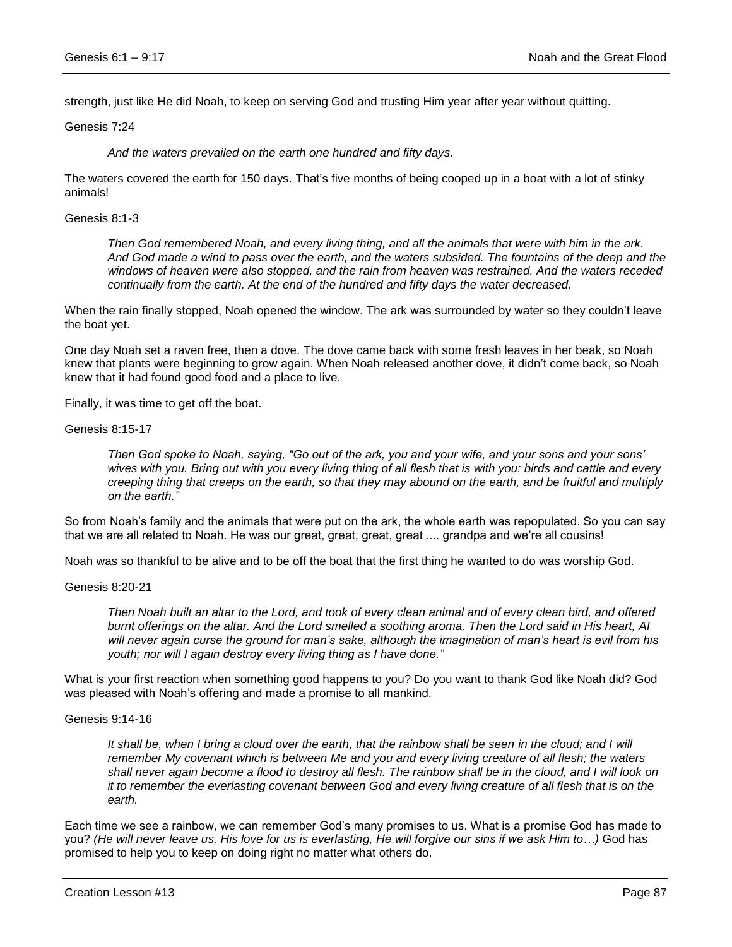strength, just like He did Noah, to keep on serving God and trusting Him year after year without quitting.

Genesis 7:24

*And the waters prevailed on the earth one hundred and fifty days.*

The waters covered the earth for 150 days. That's five months of being cooped up in a boat with a lot of stinky animals!

Genesis 8:1-3

*Then God remembered Noah, and every living thing, and all the animals that were with him in the ark. And God made a wind to pass over the earth, and the waters subsided. The fountains of the deep and the windows of heaven were also stopped, and the rain from heaven was restrained. And the waters receded continually from the earth. At the end of the hundred and fifty days the water decreased.*

When the rain finally stopped, Noah opened the window. The ark was surrounded by water so they couldn't leave the boat yet.

One day Noah set a raven free, then a dove. The dove came back with some fresh leaves in her beak, so Noah knew that plants were beginning to grow again. When Noah released another dove, it didn't come back, so Noah knew that it had found good food and a place to live.

Finally, it was time to get off the boat.

Genesis 8:15-17

*Then God spoke to Noah, saying, "Go out of the ark, you and your wife, and your sons and your sons' wives with you. Bring out with you every living thing of all flesh that is with you: birds and cattle and every creeping thing that creeps on the earth, so that they may abound on the earth, and be fruitful and multiply on the earth."*

So from Noah's family and the animals that were put on the ark, the whole earth was repopulated. So you can say that we are all related to Noah. He was our great, great, great, great .... grandpa and we're all cousins!

Noah was so thankful to be alive and to be off the boat that the first thing he wanted to do was worship God.

#### Genesis 8:20-21

*Then Noah built an altar to the Lord, and took of every clean animal and of every clean bird, and offered burnt offerings on the altar. And the Lord smelled a soothing aroma. Then the Lord said in His heart, AI will never again curse the ground for man's sake, although the imagination of man's heart is evil from his youth; nor will I again destroy every living thing as I have done."*

What is your first reaction when something good happens to you? Do you want to thank God like Noah did? God was pleased with Noah's offering and made a promise to all mankind.

#### Genesis 9:14-16

*It shall be, when I bring a cloud over the earth, that the rainbow shall be seen in the cloud; and I will remember My covenant which is between Me and you and every living creature of all flesh; the waters shall never again become a flood to destroy all flesh. The rainbow shall be in the cloud, and I will look on it to remember the everlasting covenant between God and every living creature of all flesh that is on the earth.*

Each time we see a rainbow, we can remember God's many promises to us. What is a promise God has made to you? *(He will never leave us, His love for us is everlasting, He will forgive our sins if we ask Him to…)* God has promised to help you to keep on doing right no matter what others do.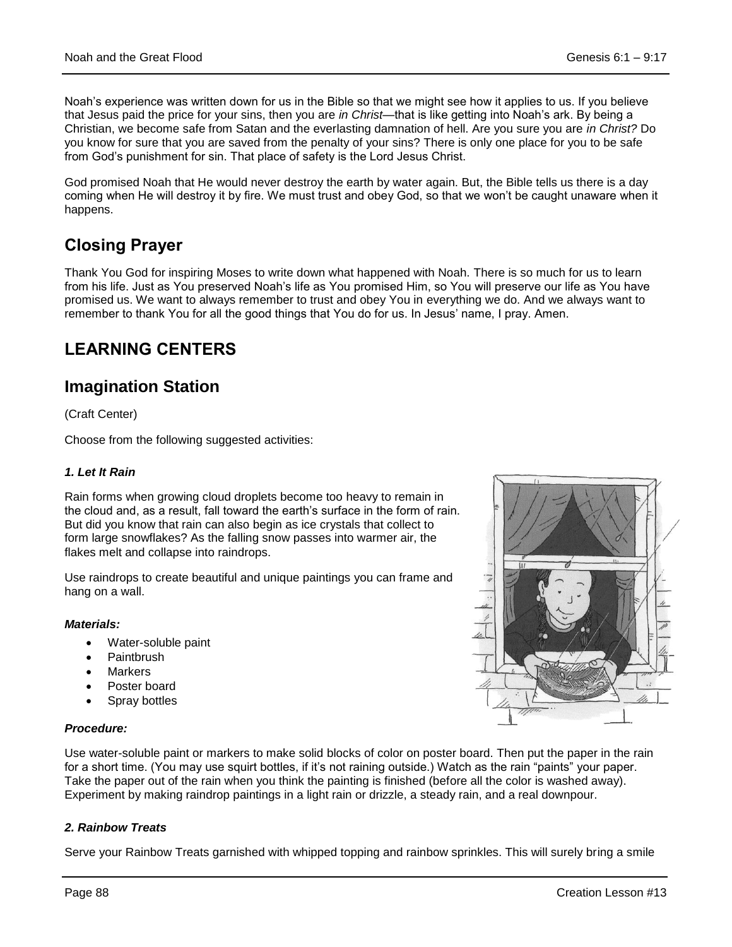Noah's experience was written down for us in the Bible so that we might see how it applies to us. If you believe that Jesus paid the price for your sins, then you are *in Christ—*that is like getting into Noah's ark. By being a Christian, we become safe from Satan and the everlasting damnation of hell. Are you sure you are *in Christ?* Do you know for sure that you are saved from the penalty of your sins? There is only one place for you to be safe from God's punishment for sin. That place of safety is the Lord Jesus Christ.

God promised Noah that He would never destroy the earth by water again. But, the Bible tells us there is a day coming when He will destroy it by fire. We must trust and obey God, so that we won't be caught unaware when it happens.

# **Closing Prayer**

Thank You God for inspiring Moses to write down what happened with Noah. There is so much for us to learn from his life. Just as You preserved Noah's life as You promised Him, so You will preserve our life as You have promised us. We want to always remember to trust and obey You in everything we do. And we always want to remember to thank You for all the good things that You do for us. In Jesus' name, I pray. Amen.

# **LEARNING CENTERS**

# **Imagination Station**

(Craft Center)

Choose from the following suggested activities:

# *1. Let It Rain*

Rain forms when growing cloud droplets become too heavy to remain in the cloud and, as a result, fall toward the earth's surface in the form of rain. But did you know that rain can also begin as ice crystals that collect to form large snowflakes? As the falling snow passes into warmer air, the flakes melt and collapse into raindrops.

Use raindrops to create beautiful and unique paintings you can frame and hang on a wall.

# *Materials:*

- Water-soluble paint
- **Paintbrush**
- Markers
- Poster board
- Spray bottles

# *Procedure:*

Use water-soluble paint or markers to make solid blocks of color on poster board. Then put the paper in the rain for a short time. (You may use squirt bottles, if it's not raining outside.) Watch as the rain "paints" your paper. Take the paper out of the rain when you think the painting is finished (before all the color is washed away). Experiment by making raindrop paintings in a light rain or drizzle, a steady rain, and a real downpour.

# *2. Rainbow Treats*

Serve your Rainbow Treats garnished with whipped topping and rainbow sprinkles. This will surely bring a smile

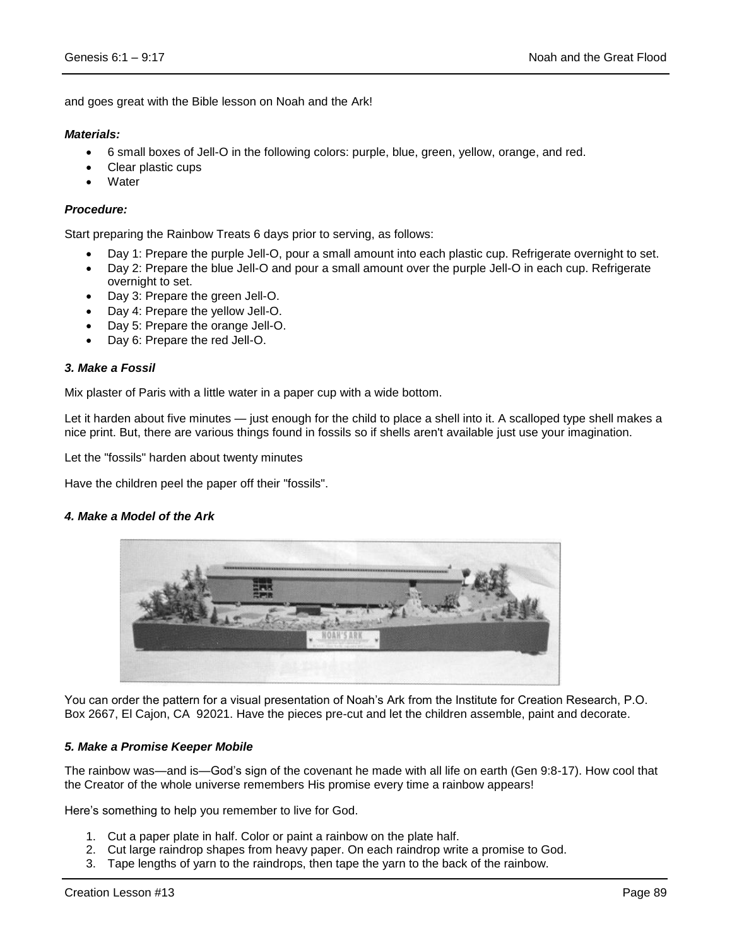and goes great with the Bible lesson on Noah and the Ark!

### *Materials:*

- 6 small boxes of Jell-O in the following colors: purple, blue, green, yellow, orange, and red.
- Clear plastic cups
- **Water**

## *Procedure:*

Start preparing the Rainbow Treats 6 days prior to serving, as follows:

- Day 1: Prepare the purple Jell-O, pour a small amount into each plastic cup. Refrigerate overnight to set.
- Day 2: Prepare the blue Jell-O and pour a small amount over the purple Jell-O in each cup. Refrigerate overnight to set.
- Day 3: Prepare the green Jell-O.
- Day 4: Prepare the yellow Jell-O.
- Day 5: Prepare the orange Jell-O.
- Day 6: Prepare the red Jell-O.

#### *3. Make a Fossil*

Mix plaster of Paris with a little water in a paper cup with a wide bottom.

Let it harden about five minutes — just enough for the child to place a shell into it. A scalloped type shell makes a nice print. But, there are various things found in fossils so if shells aren't available just use your imagination.

Let the "fossils" harden about twenty minutes

Have the children peel the paper off their "fossils".

#### *4. Make a Model of the Ark*



You can order the pattern for a visual presentation of Noah's Ark from the Institute for Creation Research, P.O. Box 2667, El Cajon, CA 92021. Have the pieces pre-cut and let the children assemble, paint and decorate.

#### *5. Make a Promise Keeper Mobile*

The rainbow was—and is—God's sign of the covenant he made with all life on earth (Gen 9:8-17). How cool that the Creator of the whole universe remembers His promise every time a rainbow appears!

Here's something to help you remember to live for God.

- 1. Cut a paper plate in half. Color or paint a rainbow on the plate half.
- 2. Cut large raindrop shapes from heavy paper. On each raindrop write a promise to God.
- 3. Tape lengths of yarn to the raindrops, then tape the yarn to the back of the rainbow.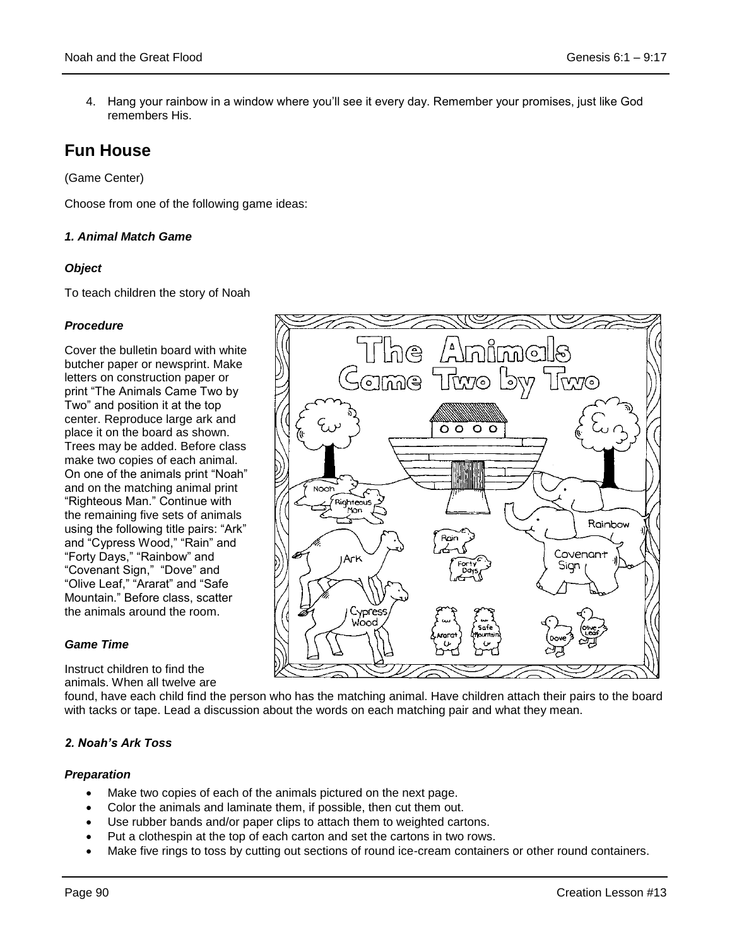4. Hang your rainbow in a window where you'll see it every day. Remember your promises, just like God remembers His.

# **Fun House**

(Game Center)

Choose from one of the following game ideas:

# *1. Animal Match Game*

# *Object*

To teach children the story of Noah

# *Procedure*

Cover the bulletin board with white butcher paper or newsprint. Make letters on construction paper or print "The Animals Came Two by Two" and position it at the top center. Reproduce large ark and place it on the board as shown. Trees may be added. Before class make two copies of each animal. On one of the animals print "Noah" and on the matching animal print "Righteous Man." Continue with the remaining five sets of animals using the following title pairs: "Ark" and "Cypress Wood," "Rain" and "Forty Days," "Rainbow" and "Covenant Sign," "Dove" and "Olive Leaf," "Ararat" and "Safe Mountain." Before class, scatter the animals around the room.

# *Game Time*

Instruct children to find the animals. When all twelve are

found, have each child find the person who has the matching animal. Have children attach their pairs to the board with tacks or tape. Lead a discussion about the words on each matching pair and what they mean.

# *2. Noah's Ark Toss*

# *Preparation*

- Make two copies of each of the animals pictured on the next page.
- Color the animals and laminate them, if possible, then cut them out.
- Use rubber bands and/or paper clips to attach them to weighted cartons.
- Put a clothespin at the top of each carton and set the cartons in two rows.
- Make five rings to toss by cutting out sections of round ice-cream containers or other round containers.

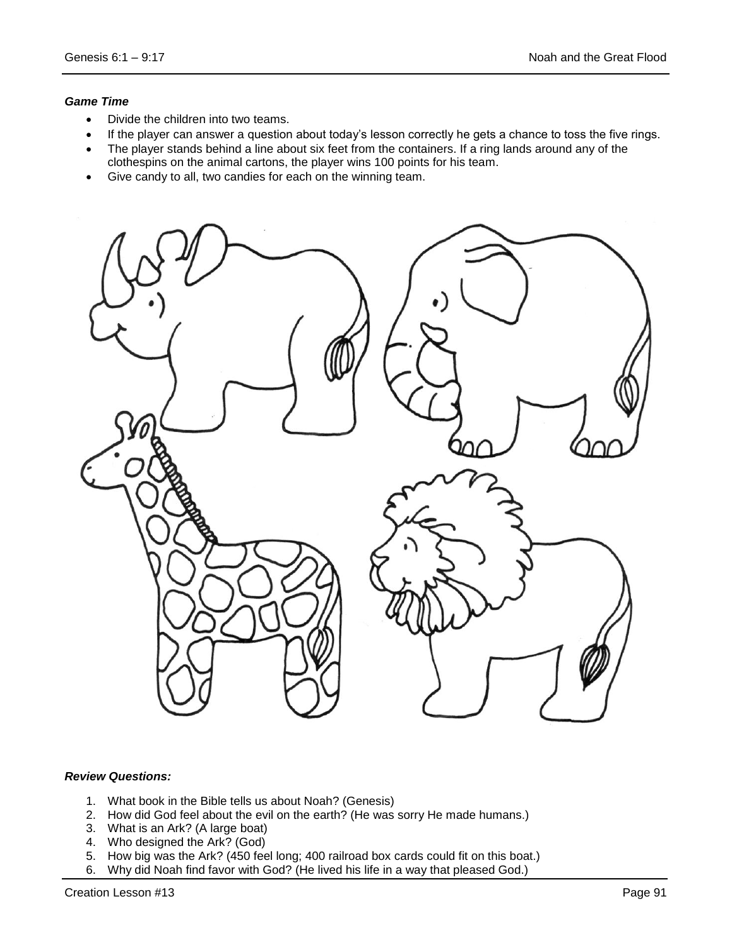## *Game Time*

- Divide the children into two teams.
- If the player can answer a question about today's lesson correctly he gets a chance to toss the five rings.
- The player stands behind a line about six feet from the containers. If a ring lands around any of the clothespins on the animal cartons, the player wins 100 points for his team.
- Give candy to all, two candies for each on the winning team.



# *Review Questions:*

- 1. What book in the Bible tells us about Noah? (Genesis)
- 2. How did God feel about the evil on the earth? (He was sorry He made humans.)
- 3. What is an Ark? (A large boat)
- 4. Who designed the Ark? (God)
- 5. How big was the Ark? (450 feel long; 400 railroad box cards could fit on this boat.)
- 6. Why did Noah find favor with God? (He lived his life in a way that pleased God.)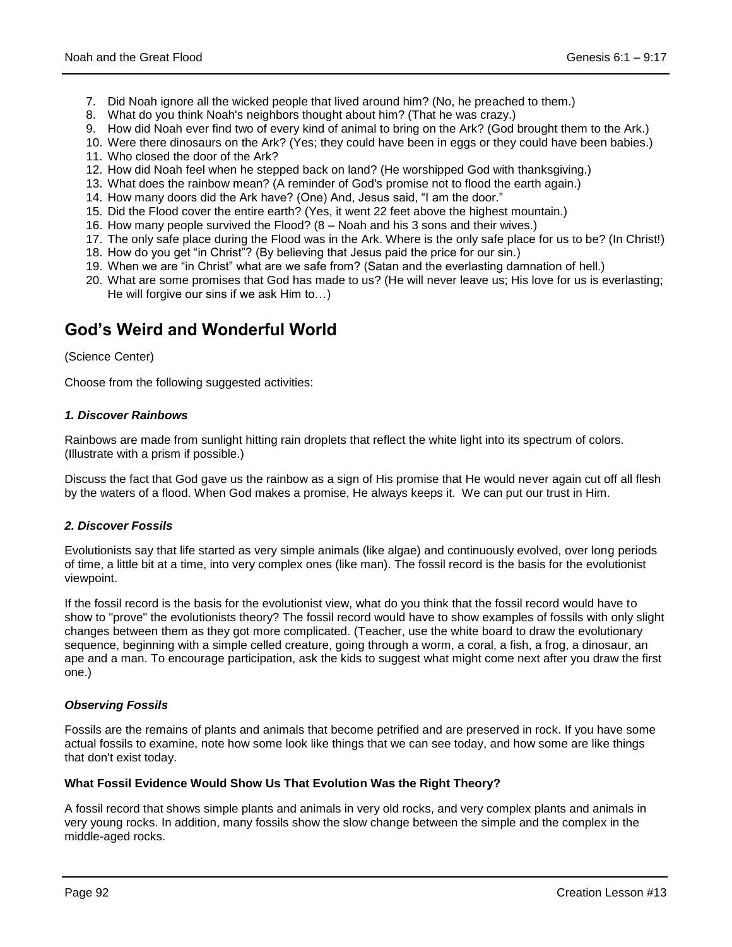- 7. Did Noah ignore all the wicked people that lived around him? (No, he preached to them.)
- 8. What do you think Noah's neighbors thought about him? (That he was crazy.)
- 9. How did Noah ever find two of every kind of animal to bring on the Ark? (God brought them to the Ark.)
- 10. Were there dinosaurs on the Ark? (Yes; they could have been in eggs or they could have been babies.)
- 11. Who closed the door of the Ark?
- 12. How did Noah feel when he stepped back on land? (He worshipped God with thanksgiving.)
- 13. What does the rainbow mean? (A reminder of God's promise not to flood the earth again.)
- 14. How many doors did the Ark have? (One) And, Jesus said, "I am the door."
- 15. Did the Flood cover the entire earth? (Yes, it went 22 feet above the highest mountain.)
- 16. How many people survived the Flood? (8 Noah and his 3 sons and their wives.)
- 17. The only safe place during the Flood was in the Ark. Where is the only safe place for us to be? (In Christ!)
- 18. How do you get "in Christ"? (By believing that Jesus paid the price for our sin.)
- 19. When we are "in Christ" what are we safe from? (Satan and the everlasting damnation of hell.)
- 20. What are some promises that God has made to us? (He will never leave us; His love for us is everlasting; He will forgive our sins if we ask Him to…)

# **God's Weird and Wonderful World**

## (Science Center)

Choose from the following suggested activities:

## *1. Discover Rainbows*

Rainbows are made from sunlight hitting rain droplets that reflect the white light into its spectrum of colors. (Illustrate with a prism if possible.)

Discuss the fact that God gave us the rainbow as a sign of His promise that He would never again cut off all flesh by the waters of a flood. When God makes a promise, He always keeps it. We can put our trust in Him.

# *2. Discover Fossils*

Evolutionists say that life started as very simple animals (like algae) and continuously evolved, over long periods of time, a little bit at a time, into very complex ones (like man). The fossil record is the basis for the evolutionist viewpoint.

If the fossil record is the basis for the evolutionist view, what do you think that the fossil record would have to show to "prove" the evolutionists theory? The fossil record would have to show examples of fossils with only slight changes between them as they got more complicated. (Teacher, use the white board to draw the evolutionary sequence, beginning with a simple celled creature, going through a worm, a coral, a fish, a frog, a dinosaur, an ape and a man. To encourage participation, ask the kids to suggest what might come next after you draw the first one.)

#### *Observing Fossils*

Fossils are the remains of plants and animals that become petrified and are preserved in rock. If you have some actual fossils to examine, note how some look like things that we can see today, and how some are like things that don't exist today.

# **What Fossil Evidence Would Show Us That Evolution Was the Right Theory?**

A fossil record that shows simple plants and animals in very old rocks, and very complex plants and animals in very young rocks. In addition, many fossils show the slow change between the simple and the complex in the middle-aged rocks.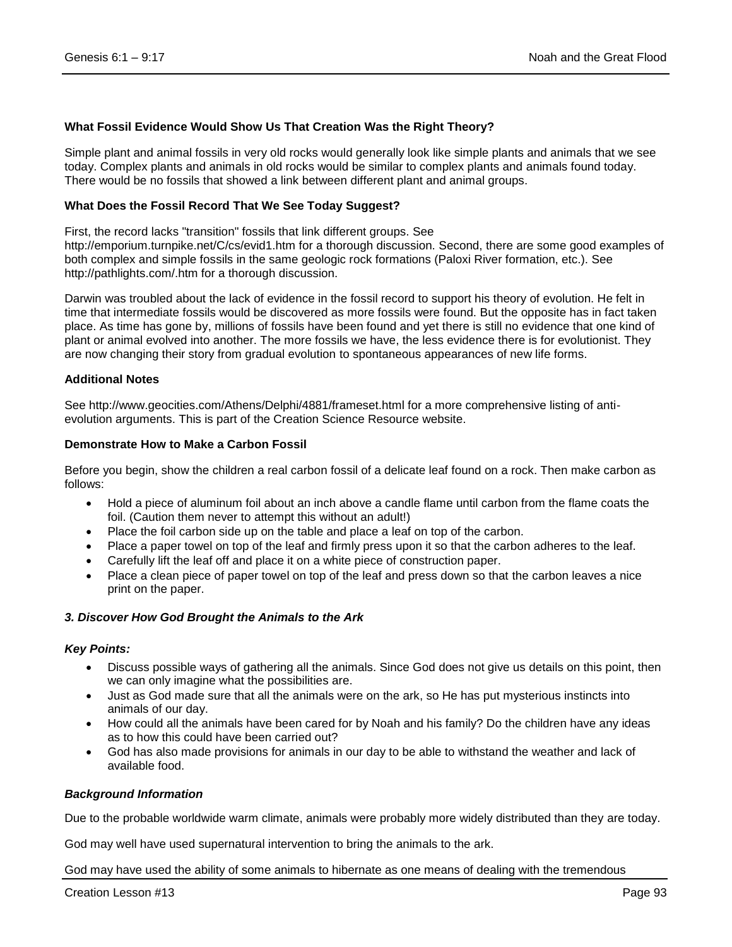## **What Fossil Evidence Would Show Us That Creation Was the Right Theory?**

Simple plant and animal fossils in very old rocks would generally look like simple plants and animals that we see today. Complex plants and animals in old rocks would be similar to complex plants and animals found today. There would be no fossils that showed a link between different plant and animal groups.

#### **What Does the Fossil Record That We See Today Suggest?**

First, the record lacks "transition" fossils that link different groups. See

http://emporium.turnpike.net/C/cs/evid1.htm for a thorough discussion. Second, there are some good examples of both complex and simple fossils in the same geologic rock formations (Paloxi River formation, etc.). See http://pathlights.com/.htm for a thorough discussion.

Darwin was troubled about the lack of evidence in the fossil record to support his theory of evolution. He felt in time that intermediate fossils would be discovered as more fossils were found. But the opposite has in fact taken place. As time has gone by, millions of fossils have been found and yet there is still no evidence that one kind of plant or animal evolved into another. The more fossils we have, the less evidence there is for evolutionist. They are now changing their story from gradual evolution to spontaneous appearances of new life forms.

#### **Additional Notes**

See http://www.geocities.com/Athens/Delphi/4881/frameset.html for a more comprehensive listing of antievolution arguments. This is part of the Creation Science Resource website.

#### **Demonstrate How to Make a Carbon Fossil**

Before you begin, show the children a real carbon fossil of a delicate leaf found on a rock. Then make carbon as follows:

- Hold a piece of aluminum foil about an inch above a candle flame until carbon from the flame coats the foil. (Caution them never to attempt this without an adult!)
- Place the foil carbon side up on the table and place a leaf on top of the carbon.
- Place a paper towel on top of the leaf and firmly press upon it so that the carbon adheres to the leaf.
- Carefully lift the leaf off and place it on a white piece of construction paper.
- Place a clean piece of paper towel on top of the leaf and press down so that the carbon leaves a nice print on the paper.

#### *3. Discover How God Brought the Animals to the Ark*

#### *Key Points:*

- Discuss possible ways of gathering all the animals. Since God does not give us details on this point, then we can only imagine what the possibilities are.
- Just as God made sure that all the animals were on the ark, so He has put mysterious instincts into animals of our day.
- How could all the animals have been cared for by Noah and his family? Do the children have any ideas as to how this could have been carried out?
- God has also made provisions for animals in our day to be able to withstand the weather and lack of available food.

#### *Background Information*

Due to the probable worldwide warm climate, animals were probably more widely distributed than they are today.

God may well have used supernatural intervention to bring the animals to the ark.

God may have used the ability of some animals to hibernate as one means of dealing with the tremendous